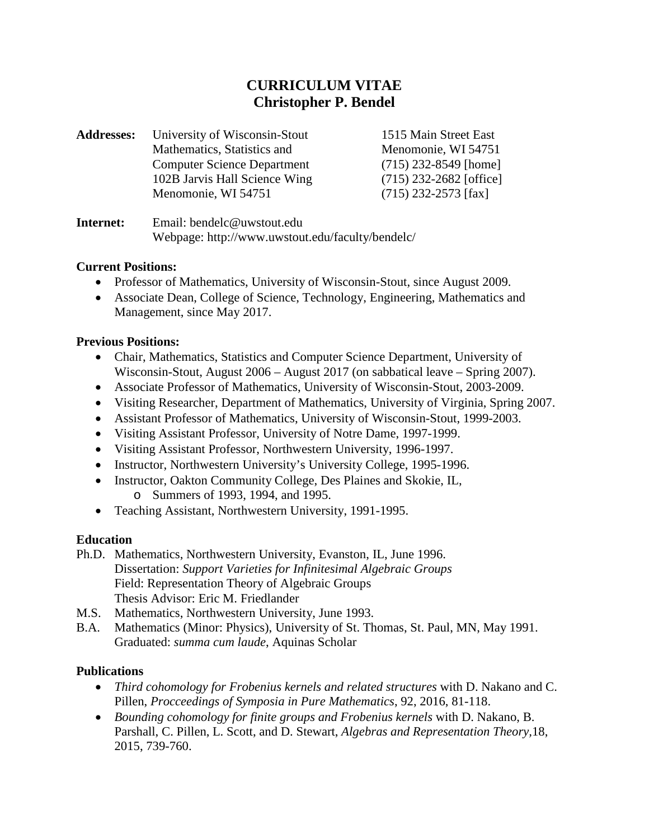# **CURRICULUM VITAE Christopher P. Bendel**

| <b>Addresses:</b> | University of Wisconsin-Stout      | 1515 Main Street East     |
|-------------------|------------------------------------|---------------------------|
|                   | Mathematics, Statistics and        | Menomonie, WI 54751       |
|                   | <b>Computer Science Department</b> | $(715)$ 232-8549 [home]   |
|                   | 102B Jarvis Hall Science Wing      | $(715)$ 232-2682 [office] |
|                   | Menomonie, WI 54751                | $(715)$ 232-2573 [fax]    |
|                   |                                    |                           |

**Internet:** Email: bendelc@uwstout.edu Webpage: http://www.uwstout.edu/faculty/bendelc/

#### **Current Positions:**

- Professor of Mathematics, University of Wisconsin-Stout, since August 2009.
- Associate Dean, College of Science, Technology, Engineering, Mathematics and Management, since May 2017.

#### **Previous Positions:**

- Chair, Mathematics, Statistics and Computer Science Department, University of Wisconsin-Stout, August 2006 – August 2017 (on sabbatical leave – Spring 2007).
- Associate Professor of Mathematics, University of Wisconsin-Stout, 2003-2009.
- Visiting Researcher, Department of Mathematics, University of Virginia, Spring 2007.
- Assistant Professor of Mathematics, University of Wisconsin-Stout, 1999-2003.
- Visiting Assistant Professor, University of Notre Dame, 1997-1999.
- Visiting Assistant Professor, Northwestern University, 1996-1997.
- Instructor, Northwestern University's University College, 1995-1996.
- Instructor, Oakton Community College, Des Plaines and Skokie, IL, o Summers of 1993, 1994, and 1995.
- Teaching Assistant, Northwestern University, 1991-1995.

#### **Education**

- Ph.D. Mathematics, Northwestern University, Evanston, IL, June 1996. Dissertation: *Support Varieties for Infinitesimal Algebraic Groups* Field: Representation Theory of Algebraic Groups Thesis Advisor: Eric M. Friedlander
- M.S. Mathematics, Northwestern University, June 1993.
- B.A. Mathematics (Minor: Physics), University of St. Thomas, St. Paul, MN, May 1991. Graduated: *summa cum laude*, Aquinas Scholar

#### **Publications**

- *Third cohomology for Frobenius kernels and related structures* with D. Nakano and C. Pillen, *Procceedings of Symposia in Pure Mathematics*, 92, 2016, 81-118.
- *Bounding cohomology for finite groups and Frobenius kernels* with D. Nakano, B. Parshall, C. Pillen, L. Scott, and D. Stewart, *Algebras and Representation Theory,*18, 2015, 739-760.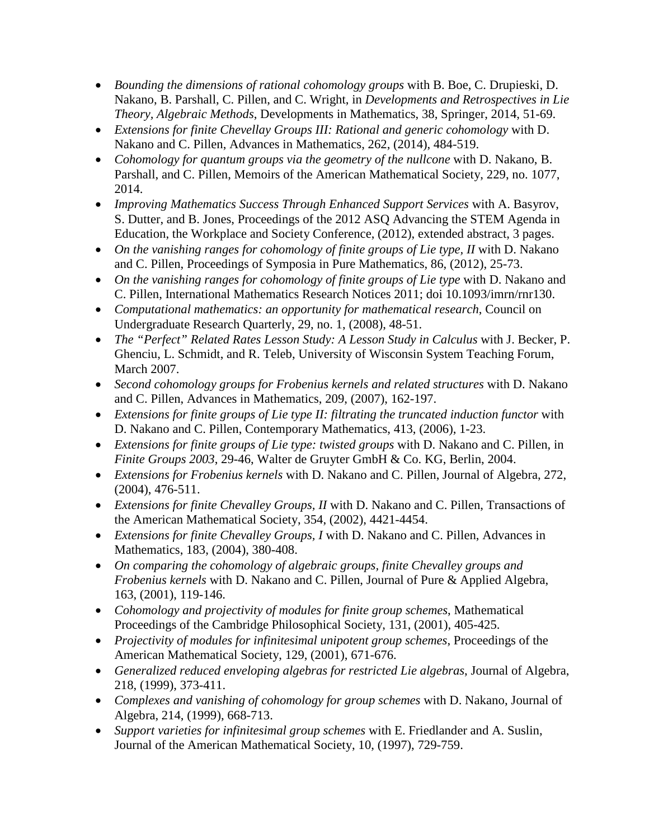- *Bounding the dimensions of rational cohomology groups* with B. Boe, C. Drupieski, D. Nakano, B. Parshall, C. Pillen, and C. Wright, in *Developments and Retrospectives in Lie Theory, Algebraic Methods*, Developments in Mathematics, 38, Springer, 2014, 51-69.
- *Extensions for finite Chevellay Groups III: Rational and generic cohomology* with D. Nakano and C. Pillen, Advances in Mathematics, 262, (2014), 484-519.
- *Cohomology for quantum groups via the geometry of the nullcone* with D. Nakano, B. Parshall, and C. Pillen, Memoirs of the American Mathematical Society, 229, no. 1077, 2014.
- *Improving Mathematics Success Through Enhanced Support Services* with A. Basyrov, S. Dutter, and B. Jones, Proceedings of the 2012 ASQ Advancing the STEM Agenda in Education, the Workplace and Society Conference, (2012), extended abstract, 3 pages.
- *On the vanishing ranges for cohomology of finite groups of Lie type, II with D. Nakano* and C. Pillen, Proceedings of Symposia in Pure Mathematics, 86, (2012), 25-73.
- *On the vanishing ranges for cohomology of finite groups of Lie type* with D. Nakano and C. Pillen, International Mathematics Research Notices 2011; doi 10.1093/imrn/rnr130.
- *Computational mathematics: an opportunity for mathematical research*, Council on Undergraduate Research Quarterly, 29, no. 1, (2008), 48-51.
- *The "Perfect" Related Rates Lesson Study: A Lesson Study in Calculus with J. Becker, P.* Ghenciu, L. Schmidt, and R. Teleb, University of Wisconsin System Teaching Forum, March 2007.
- *Second cohomology groups for Frobenius kernels and related structures with D. Nakano* and C. Pillen, Advances in Mathematics, 209, (2007), 162-197.
- *Extensions for finite groups of Lie type II: filtrating the truncated induction functor* with D. Nakano and C. Pillen, Contemporary Mathematics, 413, (2006), 1-23.
- *Extensions for finite groups of Lie type: twisted groups* with D. Nakano and C. Pillen, in *Finite Groups 2003*, 29-46, Walter de Gruyter GmbH & Co. KG, Berlin, 2004.
- *Extensions for Frobenius kernels* with D. Nakano and C. Pillen, Journal of Algebra, 272, (2004), 476-511.
- *Extensions for finite Chevalley Groups, II* with D. Nakano and C. Pillen, Transactions of the American Mathematical Society, 354, (2002), 4421-4454.
- *Extensions for finite Chevalley Groups, I* with D. Nakano and C. Pillen, Advances in Mathematics, 183, (2004), 380-408.
- *On comparing the cohomology of algebraic groups, finite Chevalley groups and Frobenius kernels* with D. Nakano and C. Pillen, Journal of Pure & Applied Algebra, 163, (2001), 119-146.
- *Cohomology and projectivity of modules for finite group schemes*, Mathematical Proceedings of the Cambridge Philosophical Society, 131, (2001), 405-425.
- *Projectivity of modules for infinitesimal unipotent group schemes*, Proceedings of the American Mathematical Society, 129, (2001), 671-676.
- *Generalized reduced enveloping algebras for restricted Lie algebras*, Journal of Algebra, 218, (1999), 373-411.
- *Complexes and vanishing of cohomology for group schemes* with D. Nakano, Journal of Algebra, 214, (1999), 668-713.
- *Support varieties for infinitesimal group schemes* with E. Friedlander and A. Suslin, Journal of the American Mathematical Society, 10, (1997), 729-759.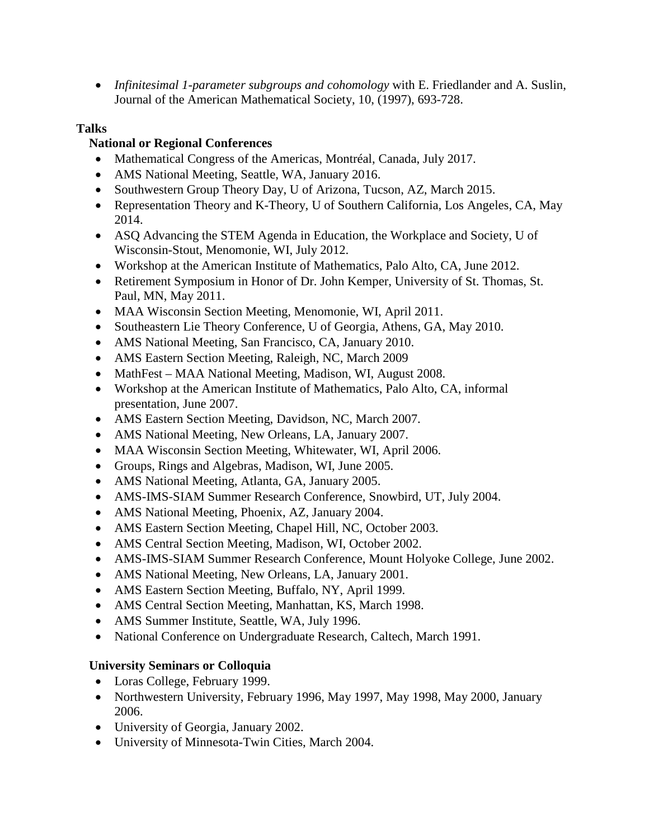• *Infinitesimal 1-parameter subgroups and cohomology* with E. Friedlander and A. Suslin, Journal of the American Mathematical Society, 10, (1997), 693-728.

## **Talks**

## **National or Regional Conferences**

- Mathematical Congress of the Americas, Montréal, Canada, July 2017.
- AMS National Meeting, Seattle, WA, January 2016.
- Southwestern Group Theory Day, U of Arizona, Tucson, AZ, March 2015.
- Representation Theory and K-Theory, U of Southern California, Los Angeles, CA, May 2014.
- ASQ Advancing the STEM Agenda in Education, the Workplace and Society, U of Wisconsin-Stout, Menomonie, WI, July 2012.
- Workshop at the American Institute of Mathematics, Palo Alto, CA, June 2012.
- Retirement Symposium in Honor of Dr. John Kemper, University of St. Thomas, St. Paul, MN, May 2011.
- MAA Wisconsin Section Meeting, Menomonie, WI, April 2011.
- Southeastern Lie Theory Conference, U of Georgia, Athens, GA, May 2010.
- AMS National Meeting, San Francisco, CA, January 2010.
- AMS Eastern Section Meeting, Raleigh, NC, March 2009
- MathFest MAA National Meeting, Madison, WI, August 2008.
- Workshop at the American Institute of Mathematics, Palo Alto, CA, informal presentation, June 2007.
- AMS Eastern Section Meeting, Davidson, NC, March 2007.
- AMS National Meeting, New Orleans, LA, January 2007.
- MAA Wisconsin Section Meeting, Whitewater, WI, April 2006.
- Groups, Rings and Algebras, Madison, WI, June 2005.
- AMS National Meeting, Atlanta, GA, January 2005.
- AMS-IMS-SIAM Summer Research Conference, Snowbird, UT, July 2004.
- AMS National Meeting, Phoenix, AZ, January 2004.
- AMS Eastern Section Meeting, Chapel Hill, NC, October 2003.
- AMS Central Section Meeting, Madison, WI, October 2002.
- AMS-IMS-SIAM Summer Research Conference, Mount Holyoke College, June 2002.
- AMS National Meeting, New Orleans, LA, January 2001.
- AMS Eastern Section Meeting, Buffalo, NY, April 1999.
- AMS Central Section Meeting, Manhattan, KS, March 1998.
- AMS Summer Institute, Seattle, WA, July 1996.
- National Conference on Undergraduate Research, Caltech, March 1991.

## **University Seminars or Colloquia**

- Loras College, February 1999.
- Northwestern University, February 1996, May 1997, May 1998, May 2000, January 2006.
- University of Georgia, January 2002.
- University of Minnesota-Twin Cities, March 2004.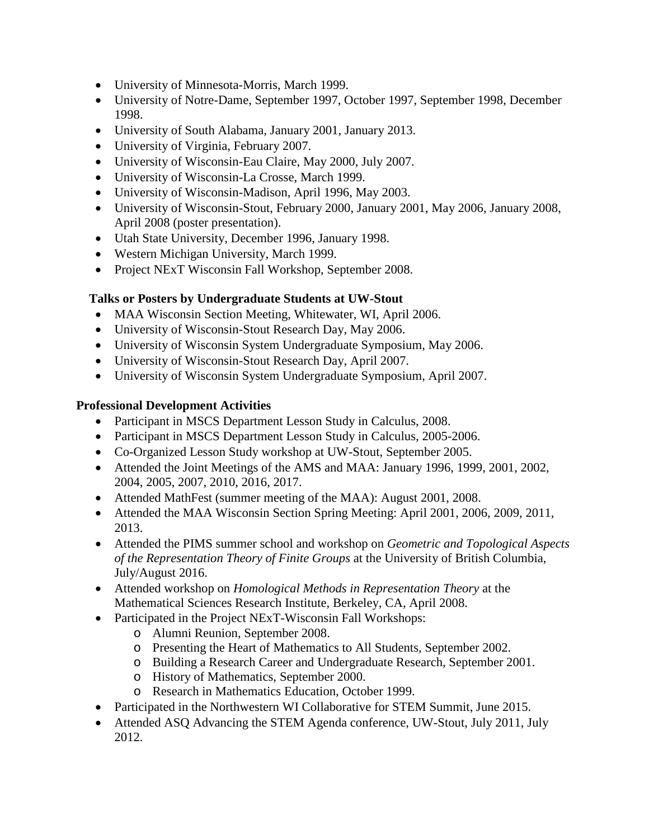- University of Minnesota-Morris, March 1999.
- University of Notre-Dame, September 1997, October 1997, September 1998, December 1998.
- University of South Alabama, January 2001, January 2013.
- University of Virginia, February 2007.
- University of Wisconsin-Eau Claire, May 2000, July 2007.
- University of Wisconsin-La Crosse, March 1999.
- University of Wisconsin-Madison, April 1996, May 2003.
- University of Wisconsin-Stout, February 2000, January 2001, May 2006, January 2008, April 2008 (poster presentation).
- Utah State University, December 1996, January 1998.
- Western Michigan University, March 1999.
- Project NExT Wisconsin Fall Workshop, September 2008.

#### **Talks or Posters by Undergraduate Students at UW-Stout**

- MAA Wisconsin Section Meeting, Whitewater, WI, April 2006.
- University of Wisconsin-Stout Research Day, May 2006.
- University of Wisconsin System Undergraduate Symposium, May 2006.
- University of Wisconsin-Stout Research Day, April 2007.
- University of Wisconsin System Undergraduate Symposium, April 2007.

#### **Professional Development Activities**

- Participant in MSCS Department Lesson Study in Calculus, 2008.
- Participant in MSCS Department Lesson Study in Calculus, 2005-2006.
- Co-Organized Lesson Study workshop at UW-Stout, September 2005.
- Attended the Joint Meetings of the AMS and MAA: January 1996, 1999, 2001, 2002, 2004, 2005, 2007, 2010, 2016, 2017.
- Attended MathFest (summer meeting of the MAA): August 2001, 2008.
- Attended the MAA Wisconsin Section Spring Meeting: April 2001, 2006, 2009, 2011, 2013.
- Attended the PIMS summer school and workshop on *Geometric and Topological Aspects of the Representation Theory of Finite Groups* at the University of British Columbia, July/August 2016.
- Attended workshop on *Homological Methods in Representation Theory* at the Mathematical Sciences Research Institute, Berkeley, CA, April 2008.
- Participated in the Project NExT-Wisconsin Fall Workshops:
	- o Alumni Reunion, September 2008.
	- o Presenting the Heart of Mathematics to All Students, September 2002.
	- o Building a Research Career and Undergraduate Research, September 2001.
	- o History of Mathematics, September 2000.
	- o Research in Mathematics Education, October 1999.
- Participated in the Northwestern WI Collaborative for STEM Summit, June 2015.
- Attended ASQ Advancing the STEM Agenda conference, UW-Stout, July 2011, July 2012.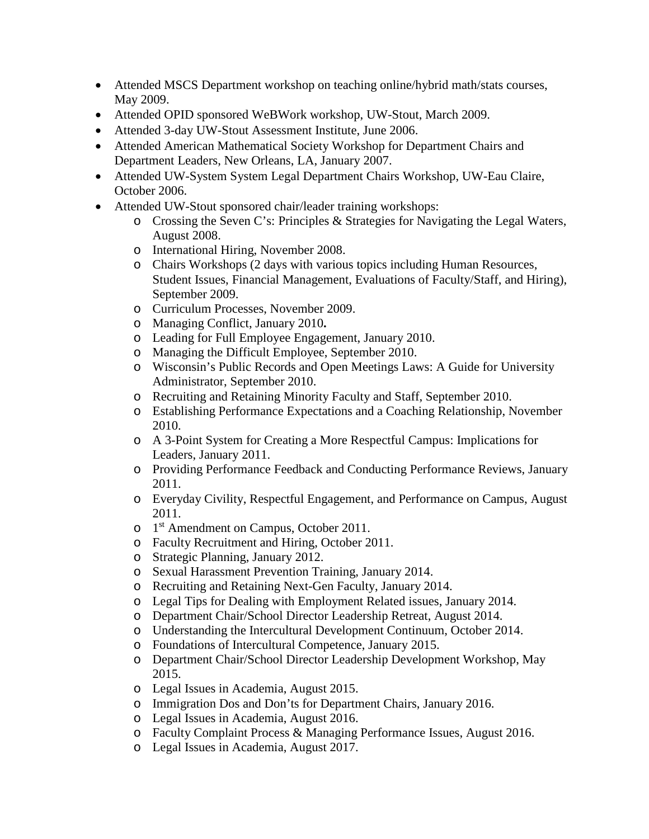- Attended MSCS Department workshop on teaching online/hybrid math/stats courses, May 2009.
- Attended OPID sponsored WeBWork workshop, UW-Stout, March 2009.
- Attended 3-day UW-Stout Assessment Institute, June 2006.
- Attended American Mathematical Society Workshop for Department Chairs and Department Leaders, New Orleans, LA, January 2007.
- Attended UW-System System Legal Department Chairs Workshop, UW-Eau Claire, October 2006.
- Attended UW-Stout sponsored chair/leader training workshops:
	- o Crossing the Seven C's: Principles & Strategies for Navigating the Legal Waters, August 2008.
	- o International Hiring, November 2008.
	- o Chairs Workshops (2 days with various topics including Human Resources, Student Issues, Financial Management, Evaluations of Faculty/Staff, and Hiring), September 2009.
	- o Curriculum Processes, November 2009.
	- o Managing Conflict, January 2010**.**
	- o Leading for Full Employee Engagement, January 2010.
	- o Managing the Difficult Employee, September 2010.
	- o Wisconsin's Public Records and Open Meetings Laws: A Guide for University Administrator, September 2010.
	- o Recruiting and Retaining Minority Faculty and Staff, September 2010.
	- o Establishing Performance Expectations and a Coaching Relationship, November 2010.
	- o A 3-Point System for Creating a More Respectful Campus: Implications for Leaders, January 2011.
	- o Providing Performance Feedback and Conducting Performance Reviews, January 2011.
	- o Everyday Civility, Respectful Engagement, and Performance on Campus, August 2011.
	- o 1st Amendment on Campus, October 2011.
	- o Faculty Recruitment and Hiring, October 2011.
	- o Strategic Planning, January 2012.
	- o Sexual Harassment Prevention Training, January 2014.
	- o Recruiting and Retaining Next-Gen Faculty, January 2014.
	- o Legal Tips for Dealing with Employment Related issues, January 2014.
	- o Department Chair/School Director Leadership Retreat, August 2014.
	- o Understanding the Intercultural Development Continuum, October 2014.
	- o Foundations of Intercultural Competence, January 2015.
	- o Department Chair/School Director Leadership Development Workshop, May 2015.
	- o Legal Issues in Academia, August 2015.
	- o Immigration Dos and Don'ts for Department Chairs, January 2016.
	- o Legal Issues in Academia, August 2016.
	- o Faculty Complaint Process & Managing Performance Issues, August 2016.
	- o Legal Issues in Academia, August 2017.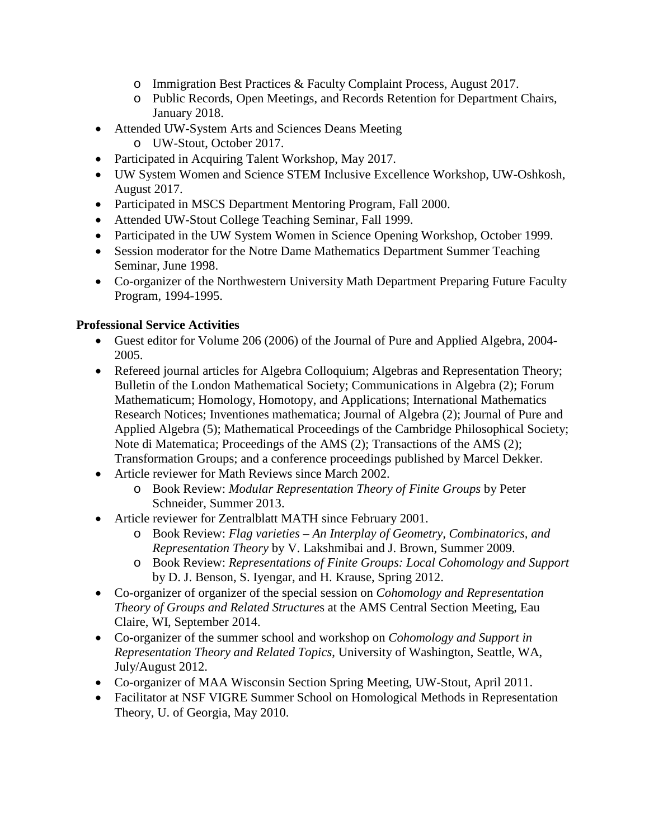- o Immigration Best Practices & Faculty Complaint Process, August 2017.
- o Public Records, Open Meetings, and Records Retention for Department Chairs, January 2018.
- Attended UW-System Arts and Sciences Deans Meeting
	- o UW-Stout, October 2017.
- Participated in Acquiring Talent Workshop, May 2017.
- UW System Women and Science STEM Inclusive Excellence Workshop, UW-Oshkosh, August 2017.
- Participated in MSCS Department Mentoring Program, Fall 2000.
- Attended UW-Stout College Teaching Seminar, Fall 1999.
- Participated in the UW System Women in Science Opening Workshop, October 1999.
- Session moderator for the Notre Dame Mathematics Department Summer Teaching Seminar, June 1998.
- Co-organizer of the Northwestern University Math Department Preparing Future Faculty Program, 1994-1995.

## **Professional Service Activities**

- Guest editor for Volume 206 (2006) of the Journal of Pure and Applied Algebra, 2004- 2005.
- Refereed journal articles for Algebra Colloquium; Algebras and Representation Theory; Bulletin of the London Mathematical Society; Communications in Algebra (2); Forum Mathematicum; Homology, Homotopy, and Applications; International Mathematics Research Notices; Inventiones mathematica; Journal of Algebra (2); Journal of Pure and Applied Algebra (5); Mathematical Proceedings of the Cambridge Philosophical Society; Note di Matematica; Proceedings of the AMS (2); Transactions of the AMS (2); Transformation Groups; and a conference proceedings published by Marcel Dekker.
- Article reviewer for Math Reviews since March 2002.
	- o Book Review: *Modular Representation Theory of Finite Groups* by Peter Schneider, Summer 2013.
- Article reviewer for Zentralblatt MATH since February 2001.
	- o Book Review: *Flag varieties – An Interplay of Geometry, Combinatorics, and Representation Theory* by V. Lakshmibai and J. Brown, Summer 2009.
	- o Book Review: *Representations of Finite Groups: Local Cohomology and Support* by D. J. Benson, S. Iyengar, and H. Krause, Spring 2012.
- Co-organizer of organizer of the special session on *Cohomology and Representation Theory of Groups and Related Structure*s at the AMS Central Section Meeting, Eau Claire, WI, September 2014.
- Co-organizer of the summer school and workshop on *Cohomology and Support in Representation Theory and Related Topics*, University of Washington, Seattle, WA, July/August 2012.
- Co-organizer of MAA Wisconsin Section Spring Meeting, UW-Stout, April 2011.
- Facilitator at NSF VIGRE Summer School on Homological Methods in Representation Theory, U. of Georgia, May 2010.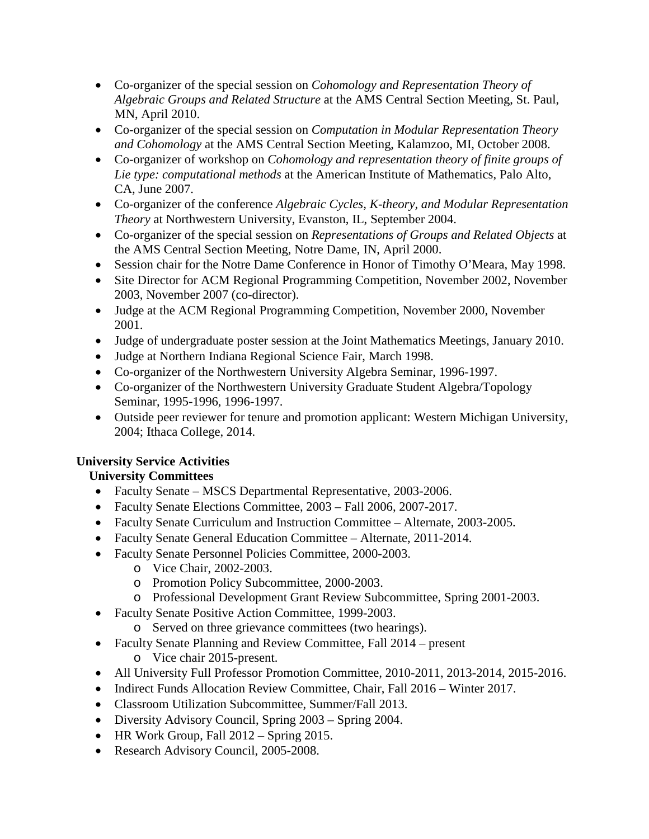- Co-organizer of the special session on *Cohomology and Representation Theory of Algebraic Groups and Related Structure* at the AMS Central Section Meeting, St. Paul, MN, April 2010.
- Co-organizer of the special session on *Computation in Modular Representation Theory and Cohomology* at the AMS Central Section Meeting, Kalamzoo, MI, October 2008.
- Co-organizer of workshop on *Cohomology and representation theory of finite groups of Lie type: computational methods* at the American Institute of Mathematics, Palo Alto, CA, June 2007.
- Co-organizer of the conference *Algebraic Cycles, K-theory, and Modular Representation Theory* at Northwestern University, Evanston, IL, September 2004.
- Co-organizer of the special session on *Representations of Groups and Related Objects* at the AMS Central Section Meeting, Notre Dame, IN, April 2000.
- Session chair for the Notre Dame Conference in Honor of Timothy O'Meara, May 1998.
- Site Director for ACM Regional Programming Competition, November 2002, November 2003, November 2007 (co-director).
- Judge at the ACM Regional Programming Competition, November 2000, November 2001.
- Judge of undergraduate poster session at the Joint Mathematics Meetings, January 2010.
- Judge at Northern Indiana Regional Science Fair, March 1998.
- Co-organizer of the Northwestern University Algebra Seminar, 1996-1997.
- Co-organizer of the Northwestern University Graduate Student Algebra/Topology Seminar, 1995-1996, 1996-1997.
- Outside peer reviewer for tenure and promotion applicant: Western Michigan University, 2004; Ithaca College, 2014.

#### **University Service Activities**

#### **University Committees**

- Faculty Senate MSCS Departmental Representative, 2003-2006.
- Faculty Senate Elections Committee, 2003 Fall 2006, 2007-2017.
- Faculty Senate Curriculum and Instruction Committee Alternate, 2003-2005.
- Faculty Senate General Education Committee Alternate, 2011-2014.
- Faculty Senate Personnel Policies Committee, 2000-2003.
	- o Vice Chair, 2002-2003.
	- o Promotion Policy Subcommittee, 2000-2003.
	- o Professional Development Grant Review Subcommittee, Spring 2001-2003.
- Faculty Senate Positive Action Committee, 1999-2003.
	- o Served on three grievance committees (two hearings).
- Faculty Senate Planning and Review Committee, Fall 2014 present o Vice chair 2015-present.
- All University Full Professor Promotion Committee, 2010-2011, 2013-2014, 2015-2016.
- Indirect Funds Allocation Review Committee, Chair, Fall 2016 Winter 2017.
- Classroom Utilization Subcommittee, Summer/Fall 2013.
- Diversity Advisory Council, Spring 2003 Spring 2004.
- HR Work Group, Fall 2012 Spring 2015.
- Research Advisory Council, 2005-2008.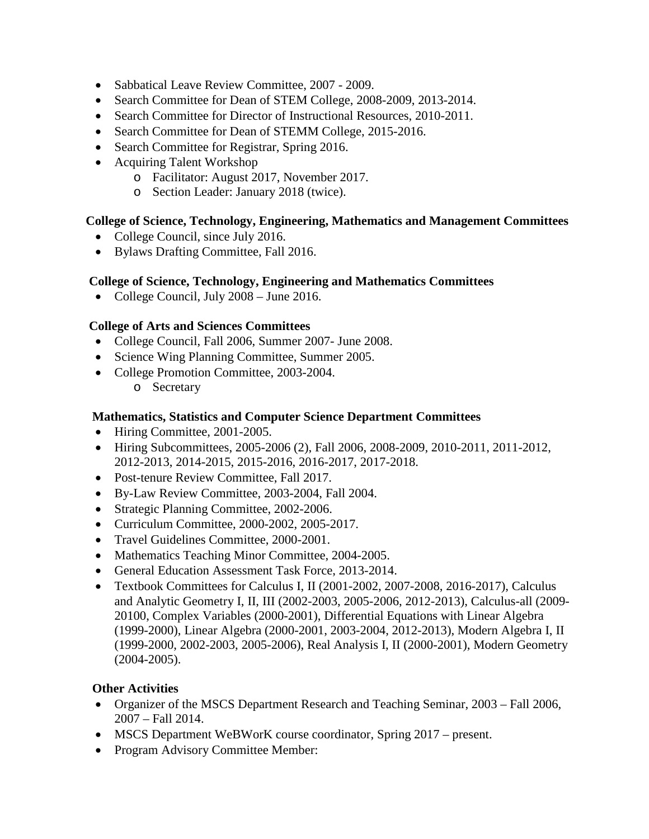- Sabbatical Leave Review Committee, 2007 2009.
- Search Committee for Dean of STEM College, 2008-2009, 2013-2014.
- Search Committee for Director of Instructional Resources, 2010-2011.
- Search Committee for Dean of STEMM College, 2015-2016.
- Search Committee for Registrar, Spring 2016.
- Acquiring Talent Workshop
	- o Facilitator: August 2017, November 2017.
	- o Section Leader: January 2018 (twice).

## **College of Science, Technology, Engineering, Mathematics and Management Committees**

- College Council, since July 2016.
- Bylaws Drafting Committee, Fall 2016.

#### **College of Science, Technology, Engineering and Mathematics Committees**

• College Council, July 2008 – June 2016.

## **College of Arts and Sciences Committees**

- College Council, Fall 2006, Summer 2007- June 2008.
- Science Wing Planning Committee, Summer 2005.
- College Promotion Committee, 2003-2004.
	- o Secretary

## **Mathematics, Statistics and Computer Science Department Committees**

- Hiring Committee, 2001-2005.
- Hiring Subcommittees, 2005-2006 (2), Fall 2006, 2008-2009, 2010-2011, 2011-2012, 2012-2013, 2014-2015, 2015-2016, 2016-2017, 2017-2018.
- Post-tenure Review Committee, Fall 2017.
- By-Law Review Committee, 2003-2004, Fall 2004.
- Strategic Planning Committee, 2002-2006.
- Curriculum Committee, 2000-2002, 2005-2017.
- Travel Guidelines Committee, 2000-2001.
- Mathematics Teaching Minor Committee, 2004-2005.
- General Education Assessment Task Force, 2013-2014.
- Textbook Committees for Calculus I, II (2001-2002, 2007-2008, 2016-2017), Calculus and Analytic Geometry I, II, III (2002-2003, 2005-2006, 2012-2013), Calculus-all (2009- 20100, Complex Variables (2000-2001), Differential Equations with Linear Algebra (1999-2000), Linear Algebra (2000-2001, 2003-2004, 2012-2013), Modern Algebra I, II (1999-2000, 2002-2003, 2005-2006), Real Analysis I, II (2000-2001), Modern Geometry (2004-2005).

## **Other Activities**

- Organizer of the MSCS Department Research and Teaching Seminar, 2003 Fall 2006, 2007 – Fall 2014.
- MSCS Department WeBWorK course coordinator, Spring 2017 present.
- Program Advisory Committee Member: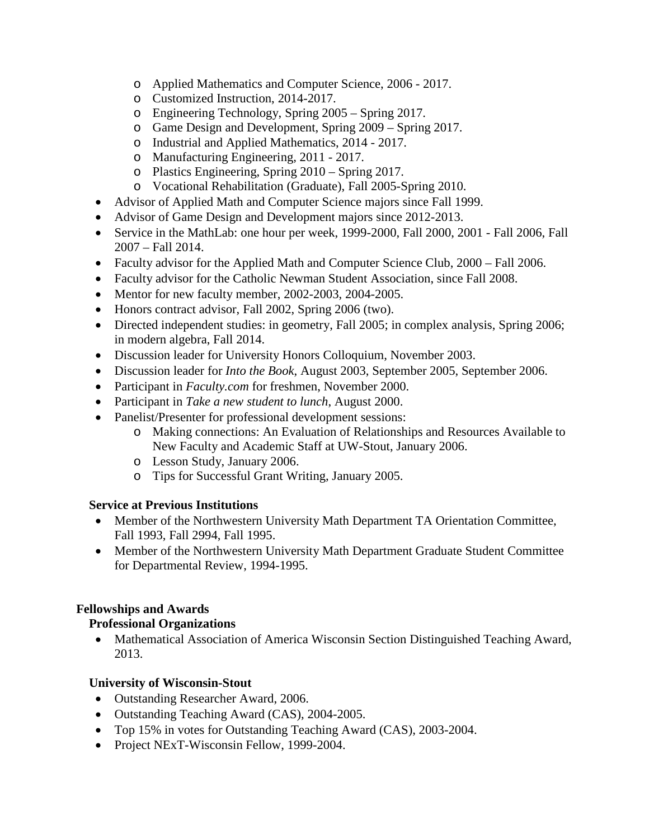- o Applied Mathematics and Computer Science, 2006 2017.
- o Customized Instruction, 2014-2017.
- o Engineering Technology, Spring 2005 Spring 2017.
- o Game Design and Development, Spring 2009 Spring 2017.
- o Industrial and Applied Mathematics, 2014 2017.
- o Manufacturing Engineering, 2011 2017.
- o Plastics Engineering, Spring 2010 Spring 2017.
- o Vocational Rehabilitation (Graduate), Fall 2005-Spring 2010.
- Advisor of Applied Math and Computer Science majors since Fall 1999.
- Advisor of Game Design and Development majors since 2012-2013.
- Service in the MathLab: one hour per week, 1999-2000, Fall 2000, 2001 Fall 2006, Fall 2007 – Fall 2014.
- Faculty advisor for the Applied Math and Computer Science Club, 2000 Fall 2006.
- Faculty advisor for the Catholic Newman Student Association, since Fall 2008.
- Mentor for new faculty member, 2002-2003, 2004-2005.
- Honors contract advisor, Fall 2002, Spring 2006 (two).
- Directed independent studies: in geometry, Fall 2005; in complex analysis, Spring 2006; in modern algebra, Fall 2014.
- Discussion leader for University Honors Colloquium, November 2003.
- Discussion leader for *Into the Book*, August 2003, September 2005, September 2006.
- Participant in *Faculty.com* for freshmen, November 2000.
- Participant in *Take a new student to lunch*, August 2000.
- Panelist/Presenter for professional development sessions:
	- o Making connections: An Evaluation of Relationships and Resources Available to New Faculty and Academic Staff at UW-Stout, January 2006.
	- o Lesson Study, January 2006.
	- o Tips for Successful Grant Writing, January 2005.

#### **Service at Previous Institutions**

- Member of the Northwestern University Math Department TA Orientation Committee, Fall 1993, Fall 2994, Fall 1995.
- Member of the Northwestern University Math Department Graduate Student Committee for Departmental Review, 1994-1995.

## **Fellowships and Awards**

## **Professional Organizations**

• Mathematical Association of America Wisconsin Section Distinguished Teaching Award, 2013.

## **University of Wisconsin-Stout**

- Outstanding Researcher Award, 2006.
- Outstanding Teaching Award (CAS), 2004-2005.
- Top 15% in votes for Outstanding Teaching Award (CAS), 2003-2004.
- Project NExT-Wisconsin Fellow, 1999-2004.